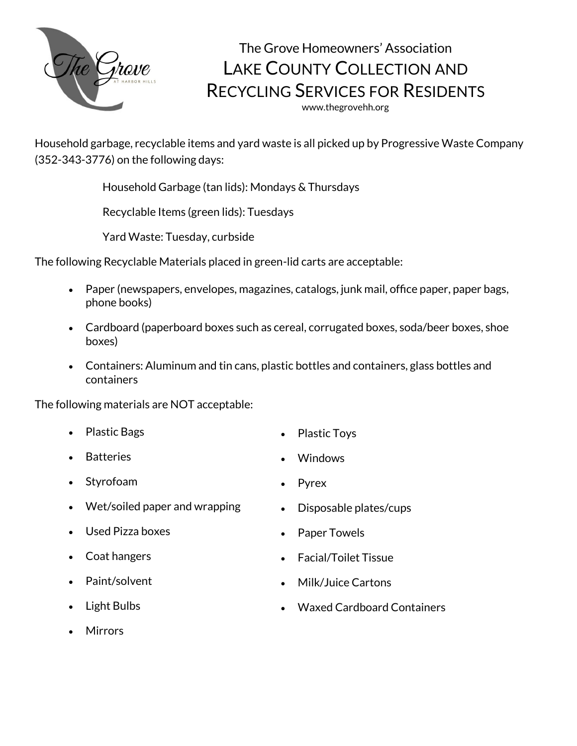

The Grove Homeowners' Association LAKE COUNTY COLLECTION AND RECYCLING SERVICES FOR RESIDENTS www.thegrovehh.org

Household garbage, recyclable items and yard waste is all picked up by Progressive Waste Company (352-343-3776) on the following days:

Household Garbage (tan lids): Mondays & Thursdays

Recyclable Items (green lids): Tuesdays

Yard Waste: Tuesday, curbside

The following Recyclable Materials placed in green-lid carts are acceptable:

- Paper (newspapers, envelopes, magazines, catalogs, junk mail, office paper, paper bags, phone books)
- Cardboard (paperboard boxes such as cereal, corrugated boxes, soda/beer boxes, shoe boxes)
- Containers: Aluminum and tin cans, plastic bottles and containers, glass bottles and containers

The following materials are NOT acceptable:

- Plastic Bags
- **Batteries**
- Styrofoam
- Wet/soiled paper and wrapping
- Used Pizza boxes
- Coat hangers
- Paint/solvent
- Light Bulbs
- Plastic Toys
- Windows
- Pyrex
- Disposable plates/cups
- Paper Towels
- Facial/Toilet Tissue
- Milk/Juice Cartons
- Waxed Cardboard Containers

• Mirrors